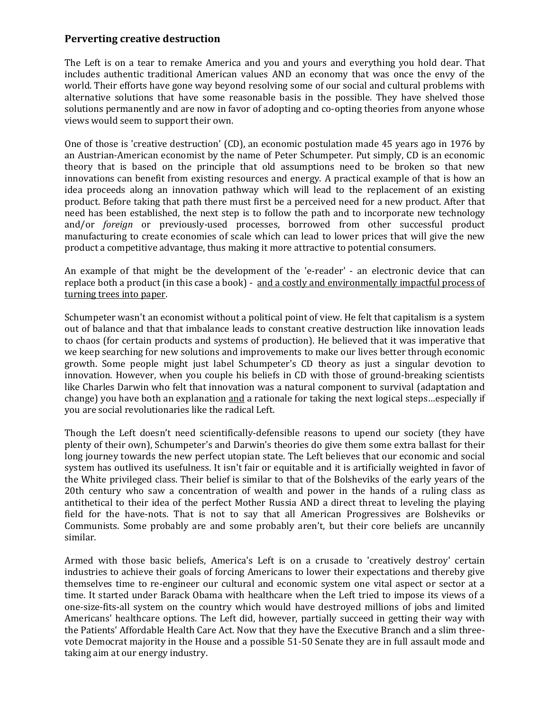## **Perverting creative destruction**

The Left is on a tear to remake America and you and yours and everything you hold dear. That includes authentic traditional American values AND an economy that was once the envy of the world. Their efforts have gone way beyond resolving some of our social and cultural problems with alternative solutions that have some reasonable basis in the possible. They have shelved those solutions permanently and are now in favor of adopting and co-opting theories from anyone whose views would seem to support their own.

One of those is 'creative destruction' (CD), an economic postulation made 45 years ago in 1976 by an Austrian-American economist by the name of Peter Schumpeter. Put simply, CD is an economic theory that is based on the principle that old assumptions need to be broken so that new innovations can benefit from existing resources and energy. A practical example of that is how an idea proceeds along an innovation pathway which will lead to the replacement of an existing product. Before taking that path there must first be a perceived need for a new product. After that need has been established, the next step is to follow the path and to incorporate new technology and/or *foreign* or previously-used processes, borrowed from other successful product manufacturing to create economies of scale which can lead to lower prices that will give the new product a competitive advantage, thus making it more attractive to potential consumers.

An example of that might be the development of the 'e-reader' - an electronic device that can replace both a product (in this case a book) - and a costly and environmentally impactful process of turning trees into paper.

Schumpeter wasn't an economist without a political point of view. He felt that capitalism is a system out of balance and that that imbalance leads to constant creative destruction like innovation leads to chaos (for certain products and systems of production). He believed that it was imperative that we keep searching for new solutions and improvements to make our lives better through economic growth. Some people might just label Schumpeter's CD theory as just a singular devotion to innovation. However, when you couple his beliefs in CD with those of ground-breaking scientists like Charles Darwin who felt that innovation was a natural component to survival (adaptation and change) you have both an explanation and a rationale for taking the next logical steps...especially if you are social revolutionaries like the radical Left.

Though the Left doesn't need scientifically-defensible reasons to upend our society (they have plenty of their own), Schumpeter's and Darwin's theories do give them some extra ballast for their long journey towards the new perfect utopian state. The Left believes that our economic and social system has outlived its usefulness. It isn't fair or equitable and it is artificially weighted in favor of the White privileged class. Their belief is similar to that of the Bolsheviks of the early years of the 20th century who saw a concentration of wealth and power in the hands of a ruling class as antithetical to their idea of the perfect Mother Russia AND a direct threat to leveling the playing field for the have-nots. That is not to say that all American Progressives are Bolsheviks or Communists. Some probably are and some probably aren't, but their core beliefs are uncannily similar.

Armed with those basic beliefs, America's Left is on a crusade to 'creatively destroy' certain industries to achieve their goals of forcing Americans to lower their expectations and thereby give themselves time to re-engineer our cultural and economic system one vital aspect or sector at a time. It started under Barack Obama with healthcare when the Left tried to impose its views of a one-size-fits-all system on the country which would have destroyed millions of jobs and limited Americans' healthcare options. The Left did, however, partially succeed in getting their way with the Patients' Affordable Health Care Act. Now that they have the Executive Branch and a slim threevote Democrat majority in the House and a possible 51-50 Senate they are in full assault mode and taking aim at our energy industry.